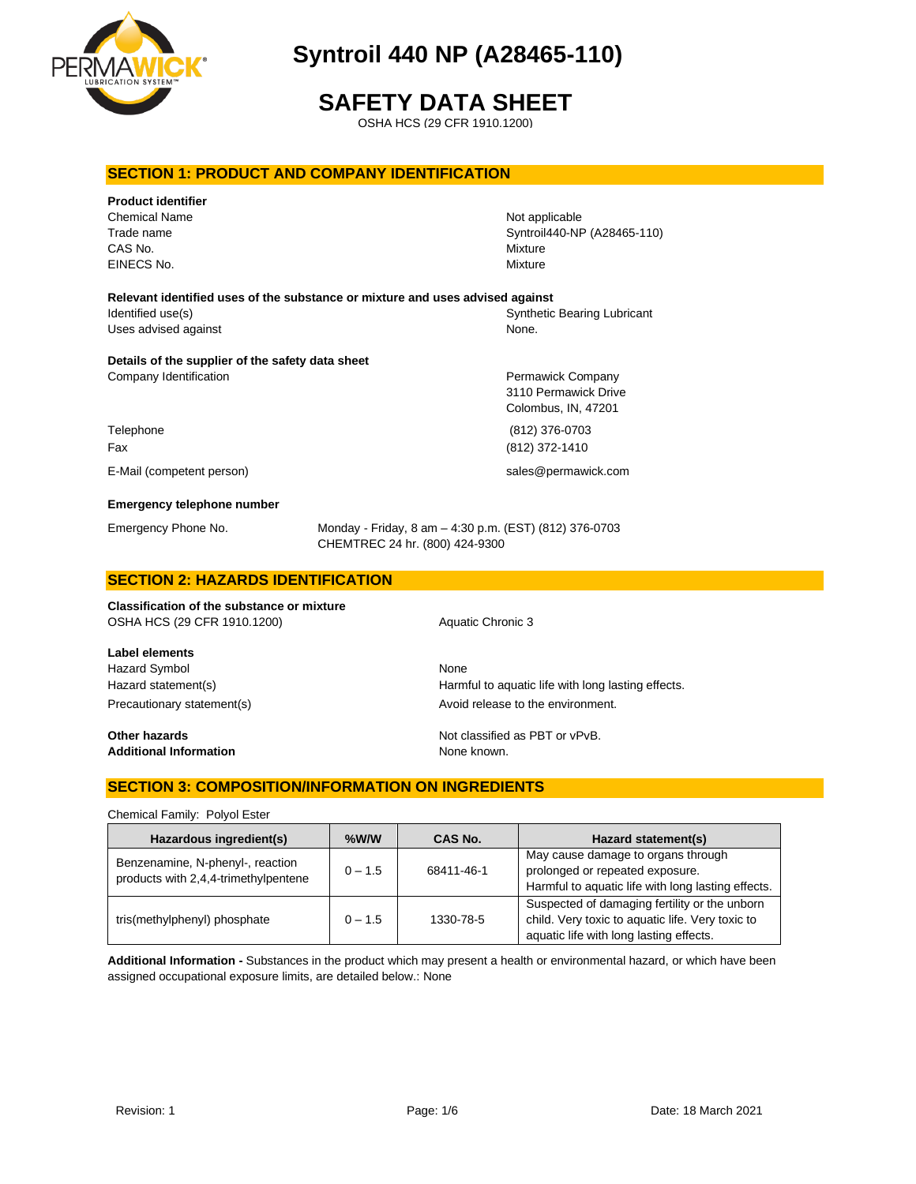

# **SAFETY DATA SHEET**

OSHA HCS (29 CFR 1910.1200)

## **SECTION 1: PRODUCT AND COMPANY IDENTIFICATION**

| <b>Product identifier</b>                        |                                                                                          |                             |
|--------------------------------------------------|------------------------------------------------------------------------------------------|-----------------------------|
| <b>Chemical Name</b>                             |                                                                                          | Not applicable              |
| Trade name                                       |                                                                                          | Syntroil440-NP (A28465-110) |
| CAS No.                                          |                                                                                          | Mixture                     |
| EINECS No.                                       |                                                                                          | Mixture                     |
|                                                  | Relevant identified uses of the substance or mixture and uses advised against            |                             |
| Identified use(s)                                |                                                                                          | Synthetic Bearing Lubricant |
| Uses advised against                             |                                                                                          | None.                       |
| Details of the supplier of the safety data sheet |                                                                                          |                             |
| Company Identification                           |                                                                                          | Permawick Company           |
|                                                  |                                                                                          | 3110 Permawick Drive        |
|                                                  |                                                                                          | Colombus, IN, 47201         |
| Telephone                                        |                                                                                          | (812) 376-0703              |
| Fax                                              |                                                                                          | (812) 372-1410              |
| E-Mail (competent person)                        |                                                                                          | sales@permawick.com         |
| <b>Emergency telephone number</b>                |                                                                                          |                             |
| Emergency Phone No.                              | Monday - Friday, 8 am - 4:30 p.m. (EST) (812) 376-0703<br>CHEMTREC 24 hr. (800) 424-9300 |                             |
| <b>SECTION 2: HAZARDS IDENTIFICATION</b>         |                                                                                          |                             |

# **Classification of the substance or mixture** OSHA HCS (29 CFR 1910.1200) Aquatic Chronic 3

**Label elements** Hazard Symbol None

**Additional Information** None known.

Hazard statement(s) **Harmful to aquatic life with long lasting effects.** Precautionary statement(s) example a proportionary statement and a very statement.

**Other hazards Other hazards Not classified as PBT or vPvB.** 

# **SECTION 3: COMPOSITION/INFORMATION ON INGREDIENTS**

Chemical Family: Polyol Ester

| Hazardous ingredient(s)                                                  | $%$ W/W   | CAS No.    | Hazard statement(s)                                                                                                                          |
|--------------------------------------------------------------------------|-----------|------------|----------------------------------------------------------------------------------------------------------------------------------------------|
| Benzenamine, N-phenyl-, reaction<br>products with 2,4,4-trimethylpentene | $0 - 1.5$ | 68411-46-1 | May cause damage to organs through<br>prolonged or repeated exposure.<br>Harmful to aquatic life with long lasting effects.                  |
| tris(methylphenyl) phosphate                                             | $0 - 1.5$ | 1330-78-5  | Suspected of damaging fertility or the unborn<br>child. Very toxic to aquatic life. Very toxic to<br>aquatic life with long lasting effects. |

**Additional Information -** Substances in the product which may present a health or environmental hazard, or which have been assigned occupational exposure limits, are detailed below.: None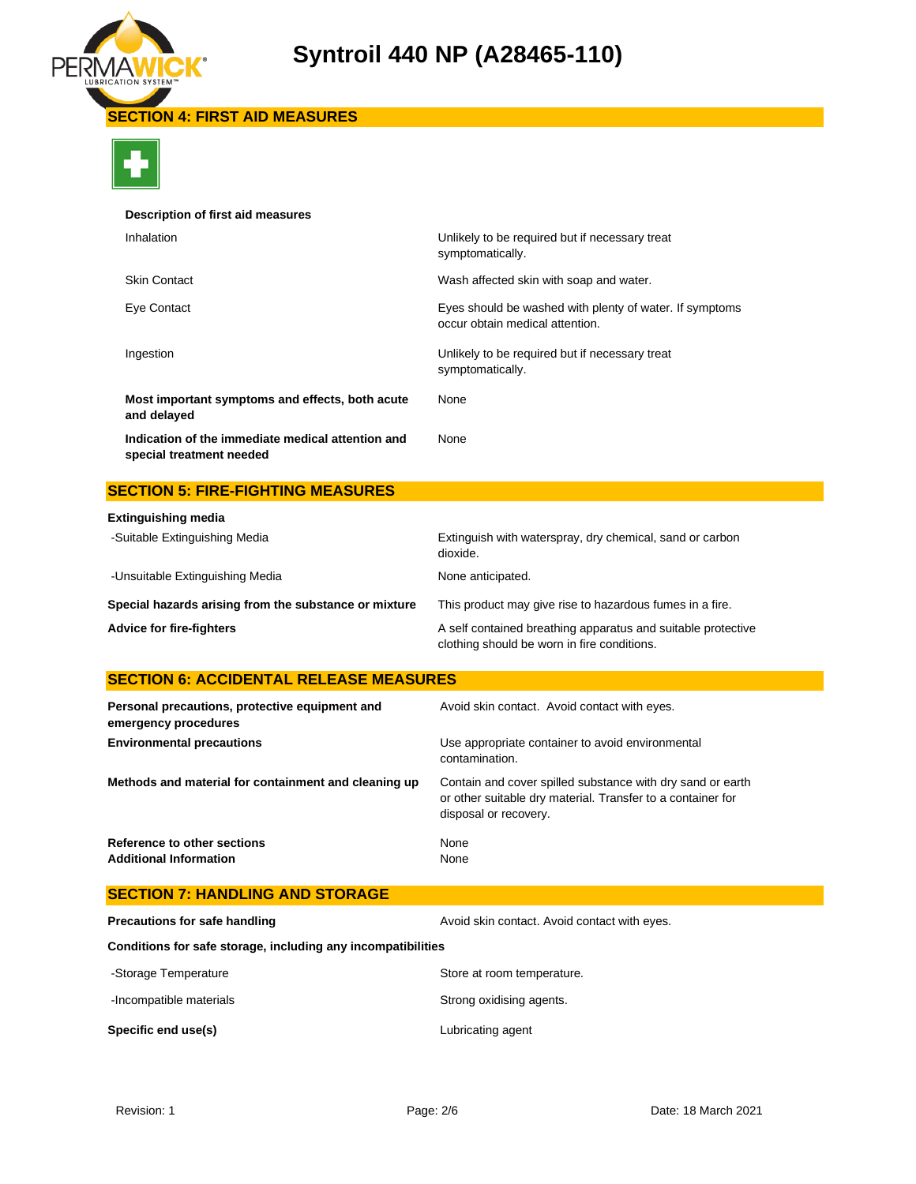

**SECTION 4: FIRST AID MEASURES**



### **Description of first aid measures**

| Inhalation                                                                    | Unlikely to be required but if necessary treat<br>symptomatically.                         |
|-------------------------------------------------------------------------------|--------------------------------------------------------------------------------------------|
| <b>Skin Contact</b>                                                           | Wash affected skin with soap and water.                                                    |
| Eye Contact                                                                   | Eyes should be washed with plenty of water. If symptoms<br>occur obtain medical attention. |
| Ingestion                                                                     | Unlikely to be required but if necessary treat<br>symptomatically.                         |
| Most important symptoms and effects, both acute<br>and delayed                | None                                                                                       |
| Indication of the immediate medical attention and<br>special treatment needed | None                                                                                       |

# **SECTION 5: FIRE-FIGHTING MEASURES**

| <b>Extinguishing media</b>                            |                                                                                                             |
|-------------------------------------------------------|-------------------------------------------------------------------------------------------------------------|
| -Suitable Extinguishing Media                         | Extinguish with waterspray, dry chemical, sand or carbon<br>dioxide.                                        |
| -Unsuitable Extinguishing Media                       | None anticipated.                                                                                           |
| Special hazards arising from the substance or mixture | This product may give rise to hazardous fumes in a fire.                                                    |
| <b>Advice for fire-fighters</b>                       | A self contained breathing apparatus and suitable protective<br>clothing should be worn in fire conditions. |

# **SECTION 6: ACCIDENTAL RELEASE MEASURES**

| Personal precautions, protective equipment and<br>emergency procedures | Avoid skin contact. Avoid contact with eyes.                                                                                                       |
|------------------------------------------------------------------------|----------------------------------------------------------------------------------------------------------------------------------------------------|
| <b>Environmental precautions</b>                                       | Use appropriate container to avoid environmental<br>contamination.                                                                                 |
| Methods and material for containment and cleaning up                   | Contain and cover spilled substance with dry sand or earth<br>or other suitable dry material. Transfer to a container for<br>disposal or recovery. |
| Reference to other sections<br><b>Additional Information</b>           | None<br>None                                                                                                                                       |

| -Incompatible materials                                      | Strong oxidising agents.                     |
|--------------------------------------------------------------|----------------------------------------------|
| -Storage Temperature                                         | Store at room temperature.                   |
| Conditions for safe storage, including any incompatibilities |                                              |
| Precautions for safe handling                                | Avoid skin contact. Avoid contact with eyes. |
| <b>SECTION 7: HANDLING AND STORAGE</b>                       |                                              |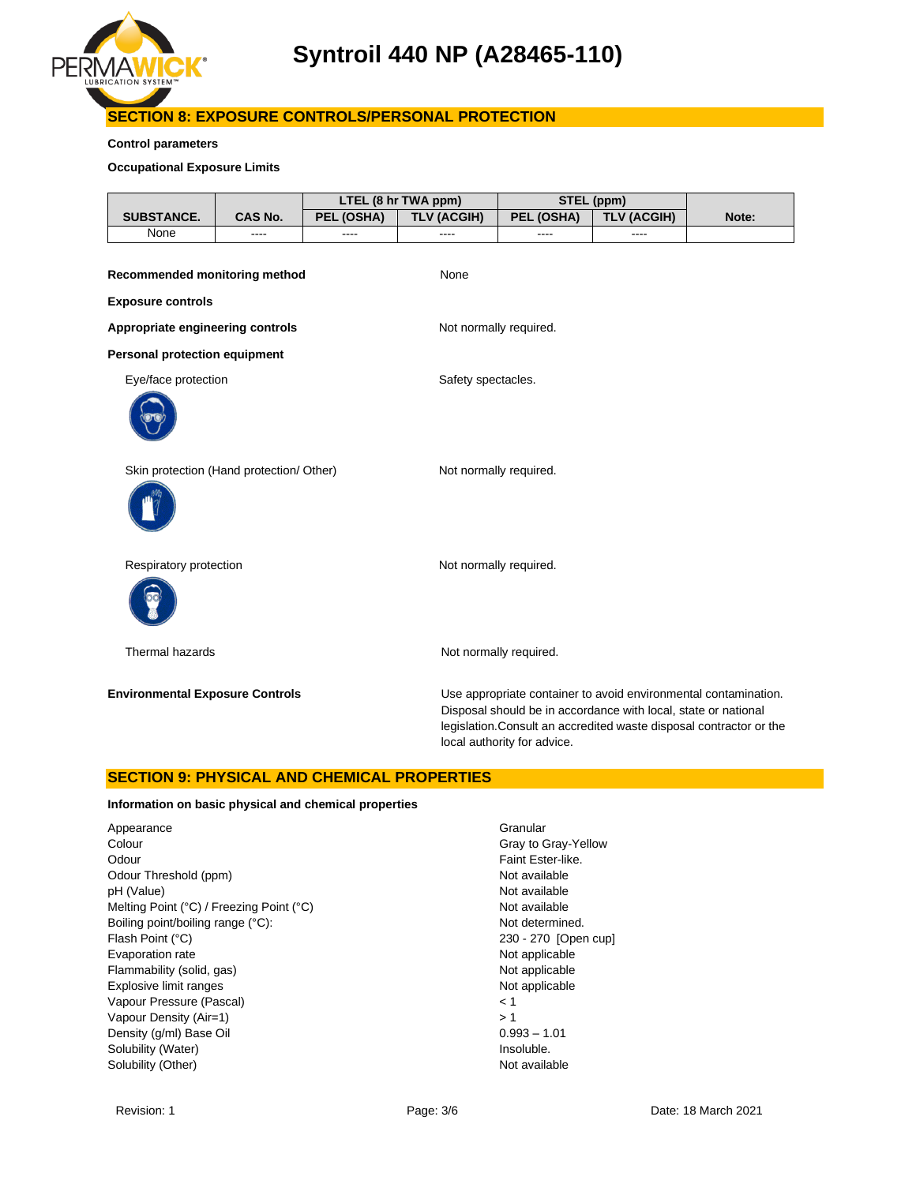

# **SECTION 8: EXPOSURE CONTROLS/PERSONAL PROTECTION**

### **Control parameters**

### **Occupational Exposure Limits**

|                                          |                |            | LTEL (8 hr TWA ppm)    |                             | STEL (ppm)                                                                                                                                                                                               |       |
|------------------------------------------|----------------|------------|------------------------|-----------------------------|----------------------------------------------------------------------------------------------------------------------------------------------------------------------------------------------------------|-------|
| <b>SUBSTANCE.</b>                        | <b>CAS No.</b> | PEL (OSHA) | <b>TLV (ACGIH)</b>     | PEL (OSHA)                  | <b>TLV (ACGIH)</b>                                                                                                                                                                                       | Note: |
| None                                     | ----           | ----       | ----                   | ----                        | ----                                                                                                                                                                                                     |       |
| Recommended monitoring method            |                |            | None                   |                             |                                                                                                                                                                                                          |       |
| <b>Exposure controls</b>                 |                |            |                        |                             |                                                                                                                                                                                                          |       |
| Appropriate engineering controls         |                |            | Not normally required. |                             |                                                                                                                                                                                                          |       |
| <b>Personal protection equipment</b>     |                |            |                        |                             |                                                                                                                                                                                                          |       |
| Eye/face protection                      |                |            | Safety spectacles.     |                             |                                                                                                                                                                                                          |       |
|                                          |                |            |                        |                             |                                                                                                                                                                                                          |       |
| Skin protection (Hand protection/ Other) |                |            | Not normally required. |                             |                                                                                                                                                                                                          |       |
| Respiratory protection                   |                |            | Not normally required. |                             |                                                                                                                                                                                                          |       |
| Thermal hazards                          |                |            |                        | Not normally required.      |                                                                                                                                                                                                          |       |
| <b>Environmental Exposure Controls</b>   |                |            |                        | local authority for advice. | Use appropriate container to avoid environmental contamination.<br>Disposal should be in accordance with local, state or national<br>legislation. Consult an accredited waste disposal contractor or the |       |

### **SECTION 9: PHYSICAL AND CHEMICAL PROPERTIES**

### **Information on basic physical and chemical properties**

Appearance Granular Colour Colour Colour Colour Colour Colour Colour Colour Colour Colour Colour Colour Colour Colour Colour Colou Odour **Faint Ester-like.** Odour Threshold (ppm) Not available pH (Value) Not available Melting Point (°C) / Freezing Point (°C) Not available Boiling point/boiling range (°C): Not determined. Flash Point (°C) 230 - 270 [Open cup] Evaporation rate **Not applicable** Not applicable Flammability (solid, gas) Not applicable Explosive limit ranges **Not applicable** Not applicable Vapour Pressure (Pascal) < 1 Vapour Density (Air=1)  $> 1$ Density (g/ml) Base Oil 0.993 – 1.01 Solubility (Water) and the soluble of the soluble of the soluble. Solubility (Other) Not available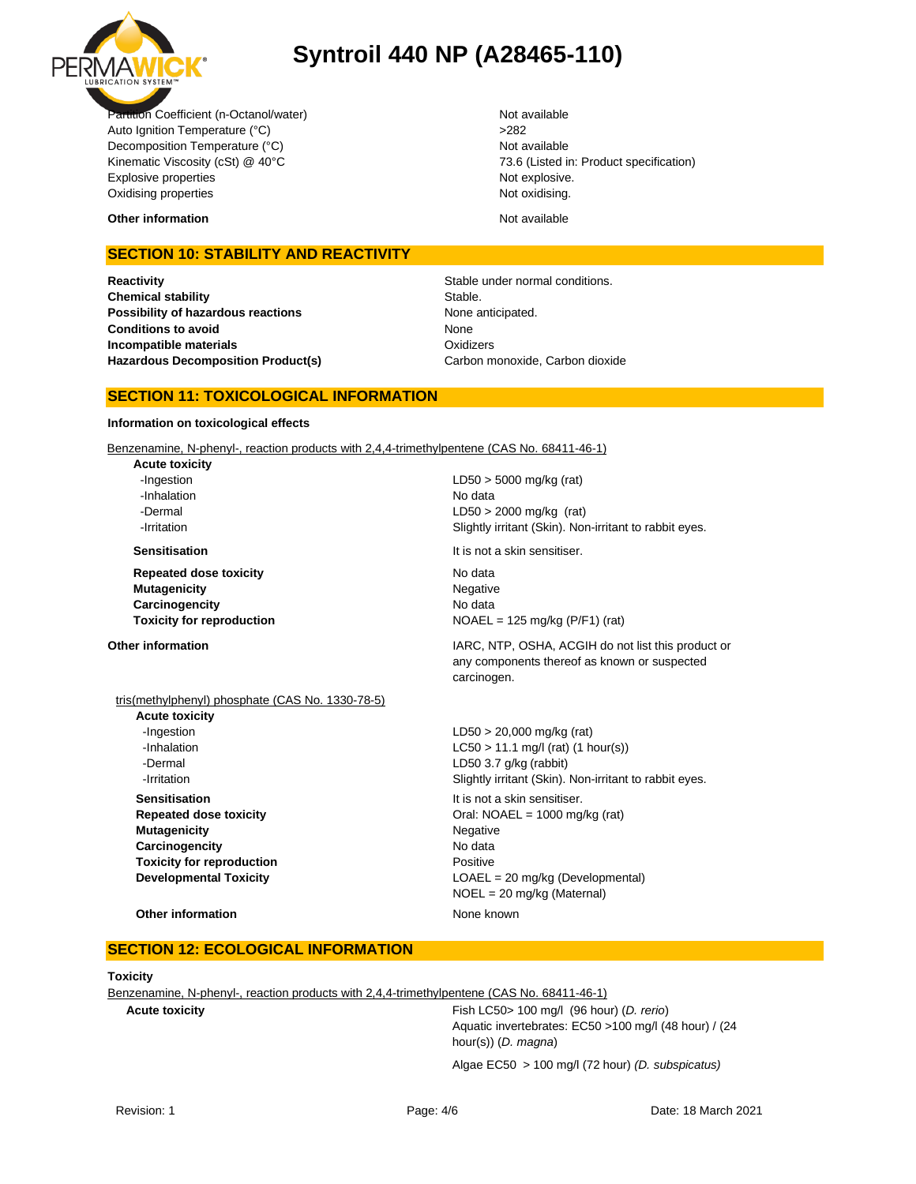

Partition Coefficient (n-Octanol/water) Not available Auto Ignition Temperature (°C) <br>
>282 Decomposition Temperature (°C) Not available Kinematic Viscosity (cSt) @ 40°C 73.6 (Listed in: Product specification) Explosive properties **Note 2018** Not explosive. Oxidising properties Not oxidising.

**Other information** and the state of the state of the state of the Not available of the State of the State of the Not available

## **SECTION 10: STABILITY AND REACTIVITY**

**Reactivity Reactivity Stable under normal conditions. Chemical stability** Stable. **Possibility of hazardous reactions** None anticipated. **Conditions to avoid Incompatible materials Hazardous Decomposition Product(s)** Carbon monoxide, Carbon dioxide

None **Oxidizers** 

## **SECTION 11: TOXICOLOGICAL INFORMATION**

### **Information on toxicological effects**

Benzenamine, N-phenyl-, reaction products with 2,4,4-trimethylpentene (CAS No. 68411-46-1)

**Acute toxicity** -Inhalation No data

**Repeated dose toxicity** No data **Mutagenicity** Negative **Carcinogencity** No data

-Ingestion LD50 > 5000 mg/kg (rat) -Dermal LD50 > 2000 mg/kg (rat) **-Irritation 1998 1998 1998 1998 Slightly irritant (Skin). Non-irritant to rabbit eyes.** 

**Sensitisation It is not a skin sensitiser.** 

**Toxicity for reproduction**  $NOAEL = 125 mg/kg (P/F1) (rat)$ 

# tris(methylphenyl) phosphate (CAS No. 1330-78-5)

**Acute toxicity** -Ingestion LD50 > 20,000 mg/kg (rat) -Dermal LD50 3.7 g/kg (rabbit) **Sensitisation It is not a skin sensitiser. Mutagenicity** Negative Carcinogencity **No data Toxicity for reproduction Positive** 

**Other information IARC, NTP, OSHA, ACGIH do not list this product or IARC**, NTP, OSHA, ACGIH do not list this product or any components thereof as known or suspected carcinogen.

 $-LCSO > 11.1$  mg/l (rat) (1 hour(s)) **-Irritation Slightly irritant (Skin). Non-irritant to rabbit eyes. Repeated dose toxicity Call: NOAEL = 1000 mg/kg (rat)** Oral: NOAEL = 1000 mg/kg (rat) **Developmental Toxicity COAEL = 20 mg/kg (Developmental)** NOEL = 20 mg/kg (Maternal)

### **Other information** None known

## **SECTION 12: ECOLOGICAL INFORMATION**

### **Toxicity**

Benzenamine, N-phenyl-, reaction products with 2,4,4-trimethylpentene (CAS No. 68411-46-1)

**Acute toxicity** Fish LC50> 100 mg/l (96 hour) (*D. rerio*) Aquatic invertebrates: EC50 >100 mg/l (48 hour) / (24 hour(s)) (*D. magna*)

Algae EC50 > 100 mg/l (72 hour) *(D. subspicatus)*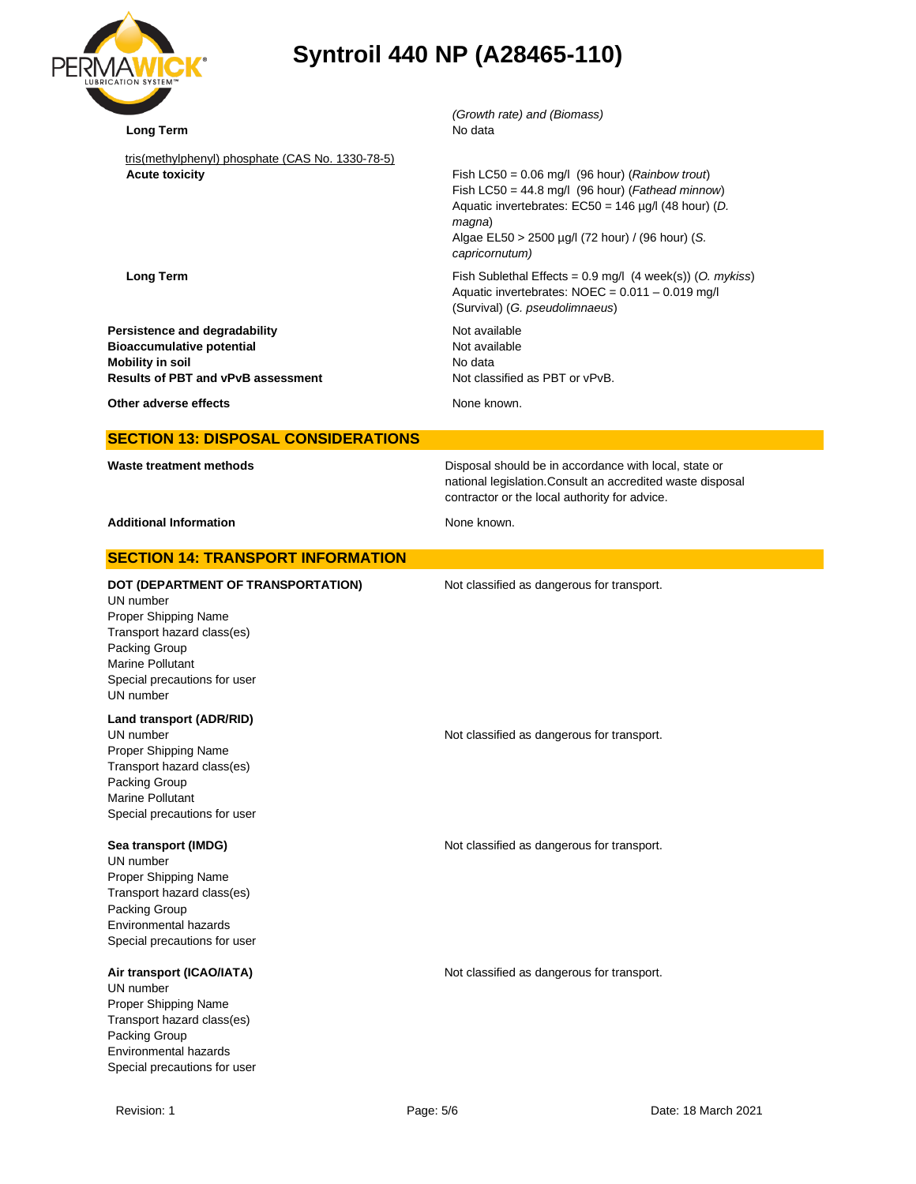| ®<br>RMAL<br><b>LUBRICATION SYSTEM™</b> |
|-----------------------------------------|
|                                         |

| <b>BRICATION SYSTEM™</b>                                                                                                                                                                       |                                                                                                                                                                                                                                               |
|------------------------------------------------------------------------------------------------------------------------------------------------------------------------------------------------|-----------------------------------------------------------------------------------------------------------------------------------------------------------------------------------------------------------------------------------------------|
| <b>Long Term</b>                                                                                                                                                                               | (Growth rate) and (Biomass)<br>No data                                                                                                                                                                                                        |
| tris(methylphenyl) phosphate (CAS No. 1330-78-5)<br><b>Acute toxicity</b>                                                                                                                      | Fish LC50 = $0.06$ mg/l (96 hour) (Rainbow trout)<br>Fish LC50 = 44.8 mg/l (96 hour) (Fathead minnow)<br>Aquatic invertebrates: EC50 = 146 µg/l (48 hour) (D.<br>magna)<br>Algae EL50 > 2500 µg/l (72 hour) / (96 hour) (S.<br>capricornutum) |
| <b>Long Term</b>                                                                                                                                                                               | Fish Sublethal Effects = $0.9$ mg/l (4 week(s)) (O. mykiss)<br>Aquatic invertebrates: NOEC = 0.011 - 0.019 mg/l<br>(Survival) (G. pseudolimnaeus)                                                                                             |
| Persistence and degradability<br><b>Bioaccumulative potential</b><br><b>Mobility in soil</b><br>Results of PBT and vPvB assessment                                                             | Not available<br>Not available<br>No data<br>Not classified as PBT or vPvB.                                                                                                                                                                   |
| Other adverse effects                                                                                                                                                                          | None known.                                                                                                                                                                                                                                   |
| <b>SECTION 13: DISPOSAL CONSIDERATIONS</b>                                                                                                                                                     |                                                                                                                                                                                                                                               |
| Waste treatment methods                                                                                                                                                                        | Disposal should be in accordance with local, state or<br>national legislation. Consult an accredited waste disposal<br>contractor or the local authority for advice.                                                                          |
| <b>Additional Information</b>                                                                                                                                                                  | None known.                                                                                                                                                                                                                                   |
| <b>SECTION 14: TRANSPORT INFORMATION</b>                                                                                                                                                       |                                                                                                                                                                                                                                               |
| DOT (DEPARTMENT OF TRANSPORTATION)<br>UN number<br>Proper Shipping Name<br>Transport hazard class(es)<br>Packing Group<br><b>Marine Pollutant</b><br>Special precautions for user<br>UN number | Not classified as dangerous for transport.                                                                                                                                                                                                    |
| Land transport (ADR/RID)<br>UN number<br>Proper Shipping Name<br>Transport hazard class(es)<br>Packing Group<br>Marine Pollutant<br>Special precautions for user                               | Not classified as dangerous for transport.                                                                                                                                                                                                    |
| Sea transport (IMDG)<br>UN number<br>Proper Shipping Name<br>Transport hazard class(es)<br>Packing Group<br>Environmental hazards<br>Special precautions for user                              | Not classified as dangerous for transport.                                                                                                                                                                                                    |
| Air transport (ICAO/IATA)<br>UN number<br>Proper Shipping Name<br>Transport hazard class(es)<br>Packing Group<br>Environmental hazards<br>Special precautions for user                         | Not classified as dangerous for transport.                                                                                                                                                                                                    |
| Revision: 1                                                                                                                                                                                    | Page: 5/6<br>Date: 18 March 2021                                                                                                                                                                                                              |